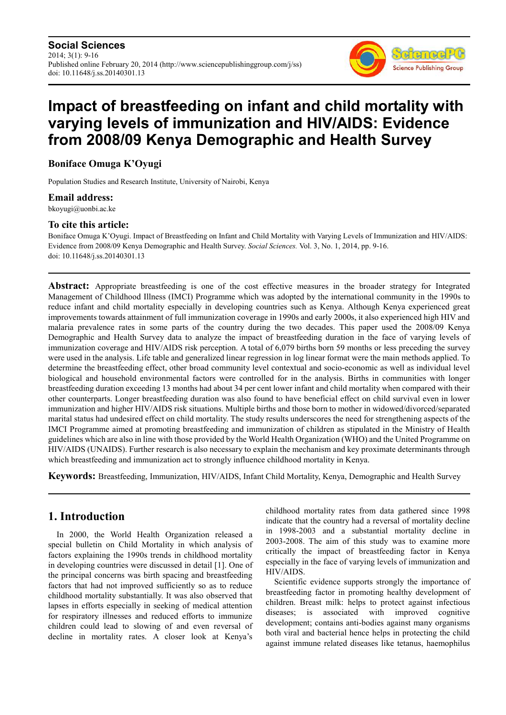

# **Impact of breastfeeding on infant and child mortality with varying levels of immunization and HIV/AIDS: Evidence from 2008/09 Kenya Demographic and Health Survey**

# **Boniface Omuga K'Oyugi**

Population Studies and Research Institute, University of Nairobi, Kenya

#### **Email address:**

bkoyugi@uonbi.ac.ke

#### **To cite this article:**

Boniface Omuga K'Oyugi. Impact of Breastfeeding on Infant and Child Mortality with Varying Levels of Immunization and HIV/AIDS: Evidence from 2008/09 Kenya Demographic and Health Survey. *Social Sciences.* Vol. 3, No. 1, 2014, pp. 9-16. doi: 10.11648/j.ss.20140301.13

**Abstract:** Appropriate breastfeeding is one of the cost effective measures in the broader strategy for Integrated Management of Childhood Illness (IMCI) Programme which was adopted by the international community in the 1990s to reduce infant and child mortality especially in developing countries such as Kenya. Although Kenya experienced great improvements towards attainment of full immunization coverage in 1990s and early 2000s, it also experienced high HIV and malaria prevalence rates in some parts of the country during the two decades. This paper used the 2008/09 Kenya Demographic and Health Survey data to analyze the impact of breastfeeding duration in the face of varying levels of immunization coverage and HIV/AIDS risk perception. A total of 6,079 births born 59 months or less preceding the survey were used in the analysis. Life table and generalized linear regression in log linear format were the main methods applied. To determine the breastfeeding effect, other broad community level contextual and socio-economic as well as individual level biological and household environmental factors were controlled for in the analysis. Births in communities with longer breastfeeding duration exceeding 13 months had about 34 per cent lower infant and child mortality when compared with their other counterparts. Longer breastfeeding duration was also found to have beneficial effect on child survival even in lower immunization and higher HIV/AIDS risk situations. Multiple births and those born to mother in widowed/divorced/separated marital status had undesired effect on child mortality. The study results underscores the need for strengthening aspects of the IMCI Programme aimed at promoting breastfeeding and immunization of children as stipulated in the Ministry of Health guidelines which are also in line with those provided by the World Health Organization (WHO) and the United Programme on HIV/AIDS (UNAIDS). Further research is also necessary to explain the mechanism and key proximate determinants through which breastfeeding and immunization act to strongly influence childhood mortality in Kenya.

**Keywords:** Breastfeeding, Immunization, HIV/AIDS, Infant Child Mortality, Kenya, Demographic and Health Survey

# **1. Introduction**

In 2000, the World Health Organization released a special bulletin on Child Mortality in which analysis of factors explaining the 1990s trends in childhood mortality in developing countries were discussed in detail [1]. One of the principal concerns was birth spacing and breastfeeding factors that had not improved sufficiently so as to reduce childhood mortality substantially. It was also observed that lapses in efforts especially in seeking of medical attention for respiratory illnesses and reduced efforts to immunize children could lead to slowing of and even reversal of decline in mortality rates. A closer look at Kenya's

childhood mortality rates from data gathered since 1998 indicate that the country had a reversal of mortality decline in 1998-2003 and a substantial mortality decline in 2003-2008. The aim of this study was to examine more critically the impact of breastfeeding factor in Kenya especially in the face of varying levels of immunization and HIV/AIDS.

Scientific evidence supports strongly the importance of breastfeeding factor in promoting healthy development of children. Breast milk: helps to protect against infectious diseases; is associated with improved cognitive development; contains anti-bodies against many organisms both viral and bacterial hence helps in protecting the child against immune related diseases like tetanus, haemophilus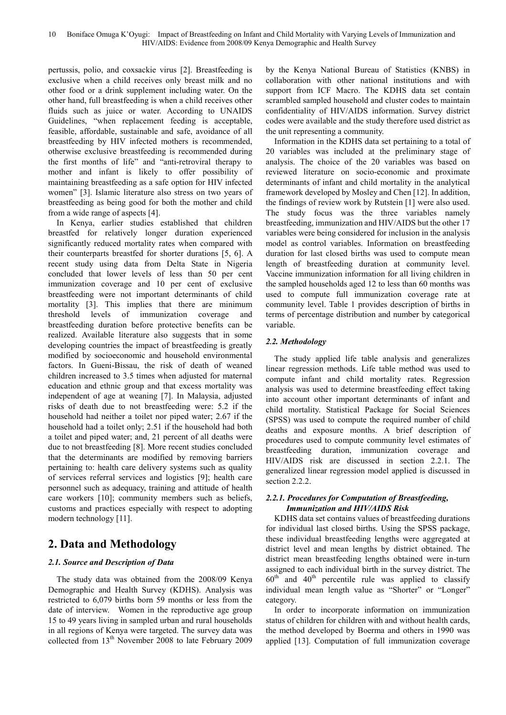pertussis, polio, and coxsackie virus [2]. Breastfeeding is exclusive when a child receives only breast milk and no other food or a drink supplement including water. On the other hand, full breastfeeding is when a child receives other fluids such as juice or water. According to UNAIDS Guidelines, "when replacement feeding is acceptable, feasible, affordable, sustainable and safe, avoidance of all breastfeeding by HIV infected mothers is recommended, otherwise exclusive breastfeeding is recommended during the first months of life" and "anti-retroviral therapy to mother and infant is likely to offer possibility of maintaining breastfeeding as a safe option for HIV infected women" [3]. Islamic literature also stress on two years of breastfeeding as being good for both the mother and child from a wide range of aspects [4].

In Kenya, earlier studies established that children breastfed for relatively longer duration experienced significantly reduced mortality rates when compared with their counterparts breastfed for shorter durations [5, 6]. A recent study using data from Delta State in Nigeria concluded that lower levels of less than 50 per cent immunization coverage and 10 per cent of exclusive breastfeeding were not important determinants of child mortality [3]. This implies that there are minimum threshold levels of immunization coverage and breastfeeding duration before protective benefits can be realized. Available literature also suggests that in some developing countries the impact of breastfeeding is greatly modified by socioeconomic and household environmental factors. In Gueni-Bissau, the risk of death of weaned children increased to 3.5 times when adjusted for maternal education and ethnic group and that excess mortality was independent of age at weaning [7]. In Malaysia, adjusted risks of death due to not breastfeeding were: 5.2 if the household had neither a toilet nor piped water; 2.67 if the household had a toilet only; 2.51 if the household had both a toilet and piped water; and, 21 percent of all deaths were due to not breastfeeding [8]. More recent studies concluded that the determinants are modified by removing barriers pertaining to: health care delivery systems such as quality of services referral services and logistics [9]; health care personnel such as adequacy, training and attitude of health care workers [10]; community members such as beliefs, customs and practices especially with respect to adopting modern technology [11].

# **2. Data and Methodology**

#### *2.1. Source and Description of Data*

The study data was obtained from the 2008/09 Kenya Demographic and Health Survey (KDHS). Analysis was restricted to 6,079 births born 59 months or less from the date of interview. Women in the reproductive age group 15 to 49 years living in sampled urban and rural households in all regions of Kenya were targeted. The survey data was collected from 13<sup>th</sup> November 2008 to late February 2009

by the Kenya National Bureau of Statistics (KNBS) in collaboration with other national institutions and with support from ICF Macro. The KDHS data set contain scrambled sampled household and cluster codes to maintain confidentiality of HIV/AIDS information. Survey district codes were available and the study therefore used district as the unit representing a community.

Information in the KDHS data set pertaining to a total of 20 variables was included at the preliminary stage of analysis. The choice of the 20 variables was based on reviewed literature on socio-economic and proximate determinants of infant and child mortality in the analytical framework developed by Mosley and Chen [12]. In addition, the findings of review work by Rutstein [1] were also used. The study focus was the three variables namely breastfeeding, immunization and HIV/AIDS but the other 17 variables were being considered for inclusion in the analysis model as control variables. Information on breastfeeding duration for last closed births was used to compute mean length of breastfeeding duration at community level. Vaccine immunization information for all living children in the sampled households aged 12 to less than 60 months was used to compute full immunization coverage rate at community level. Table 1 provides description of births in terms of percentage distribution and number by categorical variable.

#### *2.2. Methodology*

The study applied life table analysis and generalizes linear regression methods. Life table method was used to compute infant and child mortality rates. Regression analysis was used to determine breastfeeding effect taking into account other important determinants of infant and child mortality. Statistical Package for Social Sciences (SPSS) was used to compute the required number of child deaths and exposure months. A brief description of procedures used to compute community level estimates of breastfeeding duration, immunization coverage and HIV/AIDS risk are discussed in section 2.2.1. The generalized linear regression model applied is discussed in section 2.2.2.

#### *2.2.1. Procedures for Computation of Breastfeeding, Immunization and HIV/AIDS Risk*

KDHS data set contains values of breastfeeding durations for individual last closed births. Using the SPSS package, these individual breastfeeding lengths were aggregated at district level and mean lengths by district obtained. The district mean breastfeeding lengths obtained were in-turn assigned to each individual birth in the survey district. The  $60<sup>th</sup>$  and  $40<sup>th</sup>$  percentile rule was applied to classify individual mean length value as "Shorter" or "Longer" category.

In order to incorporate information on immunization status of children for children with and without health cards, the method developed by Boerma and others in 1990 was applied [13]. Computation of full immunization coverage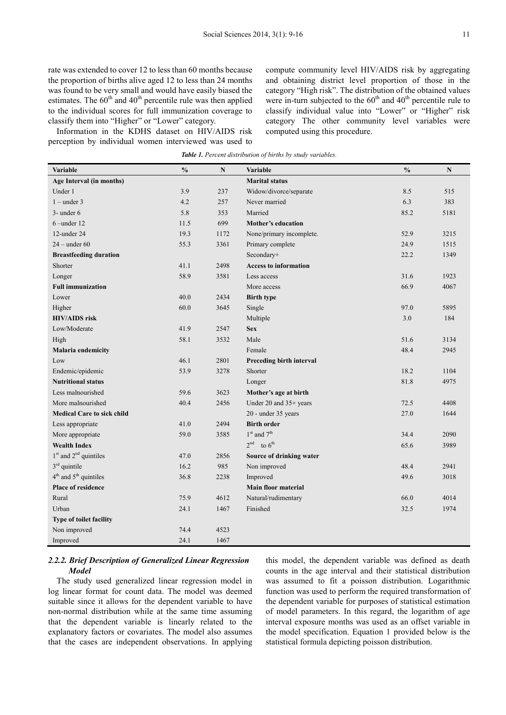rate was extended to cover 12 to less than 60 months because the proportion of births alive aged 12 to less than 24 months was found to be very small and would have easily biased the estimates. The  $60<sup>th</sup>$  and  $40<sup>th</sup>$  percentile rule was then applied to the individual scores for full immunization coverage to classify them into "Higher" or "Lower" category.

Information in the KDHS dataset on HIV/AIDS risk perception by individual women interviewed was used to compute community level HIV/AIDS risk by aggregating and obtaining district level proportion of those in the category "High risk". The distribution of the obtained values were in-turn subjected to the  $60<sup>th</sup>$  and  $40<sup>th</sup>$  percentile rule to classify individual value into "Lower" or "Higher" risk category The other community level variables were computed using this procedure.

|  | Table 1. Percent distribution of births by study variables. |  |  |
|--|-------------------------------------------------------------|--|--|
|  |                                                             |  |  |

| Variable                          | $\frac{0}{0}$ | $\mathbf N$ | Variable                     | $\frac{0}{0}$ | $\mathbf N$ |
|-----------------------------------|---------------|-------------|------------------------------|---------------|-------------|
| Age Interval (in months)          |               |             | <b>Marital status</b>        |               |             |
| Under 1                           | 3.9           | 237         | Widow/divorce/separate       | 8.5           | 515         |
| $1$ – under 3                     | 4.2           | 257         | Never married                | 6.3           | 383         |
| $3$ - under 6                     | 5.8           | 353         | Married                      | 85.2          | 5181        |
| $6$ –under 12                     | 11.5          | 699         | Mother's education           |               |             |
| 12-under 24                       | 19.3          | 1172        | None/primary incomplete.     | 52.9          | 3215        |
| $24$ – under 60                   | 55.3          | 3361        | Primary complete             | 24.9          | 1515        |
| <b>Breastfeeding duration</b>     |               |             | Secondary+                   | 22.2          | 1349        |
| Shorter                           | 41.1          | 2498        | <b>Access to information</b> |               |             |
| Longer                            | 58.9          | 3581        | Less access                  | 31.6          | 1923        |
| <b>Full immunization</b>          |               |             | More access                  | 66.9          | 4067        |
| Lower                             | 40.0          | 2434        | <b>Birth type</b>            |               |             |
| Higher                            | 60.0          | 3645        | Single                       | 97.0          | 5895        |
| <b>HIV/AIDS</b> risk              |               |             | Multiple                     | 3.0           | 184         |
| Low/Moderate                      | 41.9          | 2547        | <b>Sex</b>                   |               |             |
| High                              | 58.1          | 3532        | Male                         | 51.6          | 3134        |
| Malaria endemicity                |               |             | Female                       | 48.4          | 2945        |
| Low                               | 46.1          | 2801        | Preceding birth interval     |               |             |
| Endemic/epidemic                  | 53.9          | 3278        | Shorter                      | 18.2          | 1104        |
| <b>Nutritional status</b>         |               |             | Longer                       | 81.8          | 4975        |
| Less malnourished                 | 59.6          | 3623        | Mother's age at birth        |               |             |
| More malnourished                 | 40.4          | 2456        | Under 20 and 35+ years       | 72.5          | 4408        |
| <b>Medical Care to sick child</b> |               |             | 20 - under 35 years          | 27.0          | 1644        |
| Less appropriate                  | 41.0          | 2494        | <b>Birth order</b>           |               |             |
| More appropriate                  | 59.0          | 3585        | $1st$ and $7th$              | 34.4          | 2090        |
| <b>Wealth Index</b>               |               |             | $2nd$ to $6th$               | 65.6          | 3989        |
| $1st$ and $2nd$ quintiles         | 47.0          | 2856        | Source of drinking water     |               |             |
| $3rd$ quintile                    | 16.2          | 985         | Non improved                 | 48.4          | 2941        |
| $4th$ and $5th$ quintiles         | 36.8          | 2238        | Improved                     | 49.6          | 3018        |
| <b>Place of residence</b>         |               |             | <b>Main floor material</b>   |               |             |
| Rural                             | 75.9          | 4612        | Natural/rudimentary          | 66.0          | 4014        |
| Urban                             | 24.1          | 1467        | Finished                     | 32.5          | 1974        |
| Type of toilet facility           |               |             |                              |               |             |
| Non improved                      | 74.4          | 4523        |                              |               |             |
| Improved                          | 24.1          | 1467        |                              |               |             |

#### *2.2.2. Brief Description of Generalized Linear Regression Model*

The study used generalized linear regression model in log linear format for count data. The model was deemed suitable since it allows for the dependent variable to have non-normal distribution while at the same time assuming that the dependent variable is linearly related to the explanatory factors or covariates. The model also assumes that the cases are independent observations. In applying this model, the dependent variable was defined as death counts in the age interval and their statistical distribution was assumed to fit a poisson distribution. Logarithmic function was used to perform the required transformation of the dependent variable for purposes of statistical estimation of model parameters. In this regard, the logarithm of age interval exposure months was used as an offset variable in the model specification. Equation 1 provided below is the statistical formula depicting poisson distribution.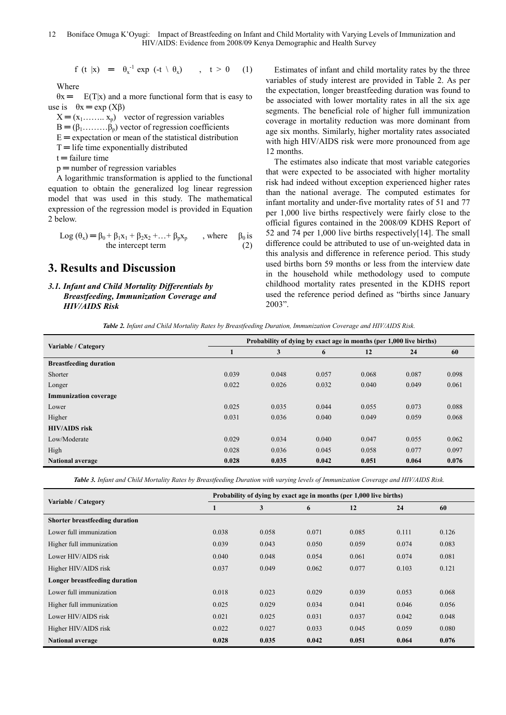$$
f(t|x) = \theta_x^{-1} \exp(t+\theta_x), \quad t > 0 \quad (1)
$$

Where

 $\theta$ x = E(T|x) and a more functional form that is easy to use is  $\theta x = \exp(X\beta)$ 

 $X = (x_1, \ldots, x_p)$  vector of regression variables

 $B = (\beta_1, \dots, \beta_n)$  vector of regression coefficients

 $E =$  expectation or mean of the statistical distribution

 $T =$  life time exponentially distributed

 $t =$  failure time

 $p =$  number of regression variables

A logarithmic transformation is applied to the functional equation to obtain the generalized log linear regression model that was used in this study. The mathematical expression of the regression model is provided in Equation 2 below.

Log 
$$
(\theta_x)
$$
 =  $\beta_0 + \beta_1 x_1 + \beta_2 x_2 + ... + \beta_p x_p$ , where  $\beta_0$  is  
the intercept term (2)

# **3. Results and Discussion**

#### *3.1. Infant and Child Mortality Differentials by Breastfeeding, Immunization Coverage and HIV/AIDS Risk*

Estimates of infant and child mortality rates by the three variables of study interest are provided in Table 2. As per the expectation, longer breastfeeding duration was found to be associated with lower mortality rates in all the six age segments. The beneficial role of higher full immunization coverage in mortality reduction was more dominant from age six months. Similarly, higher mortality rates associated with high HIV/AIDS risk were more pronounced from age 12 months.

The estimates also indicate that most variable categories that were expected to be associated with higher mortality risk had indeed without exception experienced higher rates than the national average. The computed estimates for infant mortality and under-five mortality rates of 51 and 77 per 1,000 live births respectively were fairly close to the official figures contained in the 2008/09 KDHS Report of 52 and 74 per 1,000 live births respectively[14]. The small difference could be attributed to use of un-weighted data in this analysis and difference in reference period. This study used births born 59 months or less from the interview date in the household while methodology used to compute childhood mortality rates presented in the KDHS report used the reference period defined as "births since January 2003".

*Table 2. Infant and Child Mortality Rates by Breastfeeding Duration, Immunization Coverage and HIV/AIDS Risk.* 

|                               | Probability of dying by exact age in months (per 1,000 live births) |       |       |       |       |       |  |  |  |
|-------------------------------|---------------------------------------------------------------------|-------|-------|-------|-------|-------|--|--|--|
| Variable / Category           | ш                                                                   | 3     | 6     | 12    | 24    | 60    |  |  |  |
| <b>Breastfeeding duration</b> |                                                                     |       |       |       |       |       |  |  |  |
| Shorter                       | 0.039                                                               | 0.048 | 0.057 | 0.068 | 0.087 | 0.098 |  |  |  |
| Longer                        | 0.022                                                               | 0.026 | 0.032 | 0.040 | 0.049 | 0.061 |  |  |  |
| <b>Immunization coverage</b>  |                                                                     |       |       |       |       |       |  |  |  |
| Lower                         | 0.025                                                               | 0.035 | 0.044 | 0.055 | 0.073 | 0.088 |  |  |  |
| Higher                        | 0.031                                                               | 0.036 | 0.040 | 0.049 | 0.059 | 0.068 |  |  |  |
| <b>HIV/AIDS</b> risk          |                                                                     |       |       |       |       |       |  |  |  |
| Low/Moderate                  | 0.029                                                               | 0.034 | 0.040 | 0.047 | 0.055 | 0.062 |  |  |  |
| High                          | 0.028                                                               | 0.036 | 0.045 | 0.058 | 0.077 | 0.097 |  |  |  |
| <b>National average</b>       | 0.028                                                               | 0.035 | 0.042 | 0.051 | 0.064 | 0.076 |  |  |  |

*Table 3. Infant and Child Mortality Rates by Breastfeeding Duration with varying levels of Immunization Coverage and HIV/AIDS Risk.* 

|                                | Probability of dying by exact age in months (per 1,000 live births) |       |       |       |       |       |  |  |  |  |
|--------------------------------|---------------------------------------------------------------------|-------|-------|-------|-------|-------|--|--|--|--|
| Variable / Category            |                                                                     | 3     | 6     | 12    | 24    | 60    |  |  |  |  |
| Shorter breastfeeding duration |                                                                     |       |       |       |       |       |  |  |  |  |
| Lower full immunization        | 0.038                                                               | 0.058 | 0.071 | 0.085 | 0.111 | 0.126 |  |  |  |  |
| Higher full immunization       | 0.039                                                               | 0.043 | 0.050 | 0.059 | 0.074 | 0.083 |  |  |  |  |
| Lower HIV/AIDS risk            | 0.040                                                               | 0.048 | 0.054 | 0.061 | 0.074 | 0.081 |  |  |  |  |
| Higher HIV/AIDS risk           | 0.037                                                               | 0.049 | 0.062 | 0.077 | 0.103 | 0.121 |  |  |  |  |
| Longer breastfeeding duration  |                                                                     |       |       |       |       |       |  |  |  |  |
| Lower full immunization        | 0.018                                                               | 0.023 | 0.029 | 0.039 | 0.053 | 0.068 |  |  |  |  |
| Higher full immunization       | 0.025                                                               | 0.029 | 0.034 | 0.041 | 0.046 | 0.056 |  |  |  |  |
| Lower HIV/AIDS risk            | 0.021                                                               | 0.025 | 0.031 | 0.037 | 0.042 | 0.048 |  |  |  |  |
| Higher HIV/AIDS risk           | 0.022                                                               | 0.027 | 0.033 | 0.045 | 0.059 | 0.080 |  |  |  |  |
| <b>National average</b>        | 0.028                                                               | 0.035 | 0.042 | 0.051 | 0.064 | 0.076 |  |  |  |  |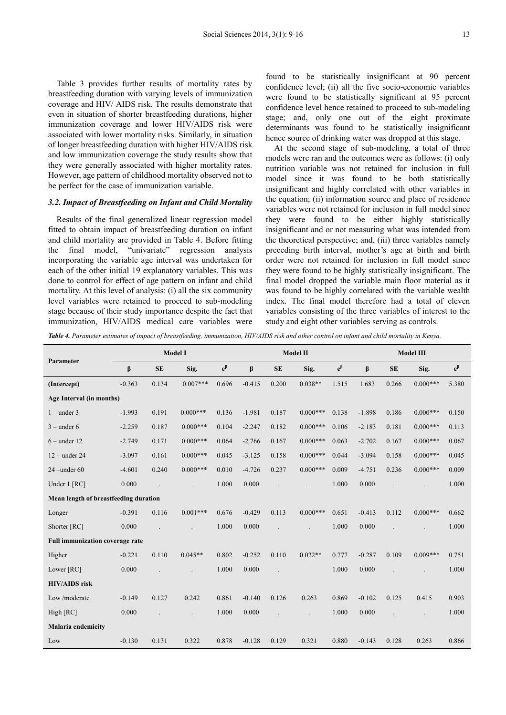Table 3 provides further results of mortality rates by breastfeeding duration with varying levels of immunization coverage and HIV/ AIDS risk. The results demonstrate that even in situation of shorter breastfeeding durations, higher immunization coverage and lower HIV/AIDS risk were associated with lower mortality risks. Similarly, in situation of longer breastfeeding duration with higher HIV/AIDS risk and low immunization coverage the study results show that they were generally associated with higher mortality rates. However, age pattern of childhood mortality observed not to be perfect for the case of immunization variable.

#### *3.2. Impact of Breastfeeding on Infant and Child Mortality*

Results of the final generalized linear regression model fitted to obtain impact of breastfeeding duration on infant and child mortality are provided in Table 4. Before fitting the final model, "univariate" regression analysis incorporating the variable age interval was undertaken for each of the other initial 19 explanatory variables. This was done to control for effect of age pattern on infant and child mortality. At this level of analysis: (i) all the six community level variables were retained to proceed to sub-modeling stage because of their study importance despite the fact that immunization, HIV/AIDS medical care variables were found to be statistically insignificant at 90 percent confidence level; (ii) all the five socio-economic variables were found to be statistically significant at 95 percent confidence level hence retained to proceed to sub-modeling stage; and, only one out of the eight proximate determinants was found to be statistically insignificant hence source of drinking water was dropped at this stage.

At the second stage of sub-modeling, a total of three models were ran and the outcomes were as follows: (i) only nutrition variable was not retained for inclusion in full model since it was found to be both statistically insignificant and highly correlated with other variables in the equation; (ii) information source and place of residence variables were not retained for inclusion in full model since they were found to be either highly statistically insignificant and or not measuring what was intended from the theoretical perspective; and, (iii) three variables namely preceding birth interval, mother's age at birth and birth order were not retained for inclusion in full model since they were found to be highly statistically insignificant. The final model dropped the variable main floor material as it was found to be highly correlated with the variable wealth index. The final model therefore had a total of eleven variables consisting of the three variables of interest to the study and eight other variables serving as controls.

*Table 4. Parameter estimates of impact of breastfeeding, immunization, HIV/AIDS risk and other control on infant and child mortality in Kenya.* 

| Parameter                             | <b>Model I</b> |           |            |             | Model II |           |            |                      | <b>Model III</b> |           |            |             |
|---------------------------------------|----------------|-----------|------------|-------------|----------|-----------|------------|----------------------|------------------|-----------|------------|-------------|
|                                       | β              | <b>SE</b> | Sig.       | $e^{\beta}$ | β        | <b>SE</b> | Sig.       | $\mathrm{e}^{\beta}$ | $\beta$          | <b>SE</b> | Sig.       | $e^{\beta}$ |
| (Intercept)                           | $-0.363$       | 0.134     | $0.007***$ | 0.696       | $-0.415$ | 0.200     | $0.038**$  | 1.515                | 1.683            | 0.266     | $0.000***$ | 5.380       |
| Age Interval (in months)              |                |           |            |             |          |           |            |                      |                  |           |            |             |
| $1$ – under 3                         | $-1.993$       | 0.191     | $0.000***$ | 0.136       | $-1.981$ | 0.187     | $0.000***$ | 0.138                | $-1.898$         | 0.186     | $0.000***$ | 0.150       |
| $3$ – under 6                         | $-2.259$       | 0.187     | $0.000***$ | 0.104       | $-2.247$ | 0.182     | $0.000***$ | 0.106                | $-2.183$         | 0.181     | $0.000***$ | 0.113       |
| $6$ – under 12                        | $-2.749$       | 0.171     | $0.000***$ | 0.064       | $-2.766$ | 0.167     | $0.000***$ | 0.063                | $-2.702$         | 0.167     | $0.000***$ | 0.067       |
| $12$ – under 24                       | $-3.097$       | 0.161     | $0.000***$ | 0.045       | $-3.125$ | 0.158     | $0.000***$ | 0.044                | $-3.094$         | 0.158     | $0.000***$ | 0.045       |
| $24$ –under 60                        | $-4.601$       | 0.240     | $0.000***$ | 0.010       | $-4.726$ | 0.237     | $0.000***$ | 0.009                | $-4.751$         | 0.236     | $0.000***$ | 0.009       |
| Under 1 [RC]                          | 0.000          |           |            | 1.000       | 0.000    |           |            | 1.000                | 0.000            |           |            | 1.000       |
| Mean length of breastfeeding duration |                |           |            |             |          |           |            |                      |                  |           |            |             |
| Longer                                | $-0.391$       | 0.116     | $0.001***$ | 0.676       | $-0.429$ | 0.113     | $0.000***$ | 0.651                | $-0.413$         | 0.112     | $0.000***$ | 0.662       |
| Shorter [RC]                          | 0.000          |           |            | 1.000       | 0.000    |           |            | 1.000                | 0.000            |           |            | 1.000       |
| Full immunization coverage rate       |                |           |            |             |          |           |            |                      |                  |           |            |             |
| Higher                                | $-0.221$       | 0.110     | $0.045**$  | 0.802       | $-0.252$ | 0.110     | $0.022**$  | 0.777                | $-0.287$         | 0.109     | $0.009***$ | 0.751       |
| Lower [RC]                            | 0.000          |           |            | 1.000       | 0.000    |           |            | 1.000                | 0.000            |           |            | 1.000       |
| <b>HIV/AIDS</b> risk                  |                |           |            |             |          |           |            |                      |                  |           |            |             |
| Low/moderate                          | $-0.149$       | 0.127     | 0.242      | 0.861       | $-0.140$ | 0.126     | 0.263      | 0.869                | $-0.102$         | 0.125     | 0.415      | 0.903       |
| High [RC]                             | 0.000          |           |            | 1.000       | 0.000    |           |            | 1.000                | 0.000            |           |            | 1.000       |
| <b>Malaria</b> endemicity             |                |           |            |             |          |           |            |                      |                  |           |            |             |
| Low                                   | $-0.130$       | 0.131     | 0.322      | 0.878       | $-0.128$ | 0.129     | 0.321      | 0.880                | $-0.143$         | 0.128     | 0.263      | 0.866       |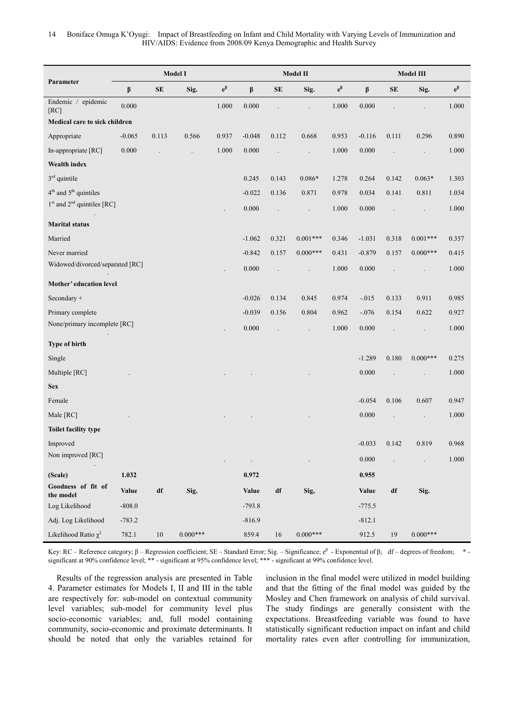|                                 |              |                        | Model I    |             | Model II     |                      |            |             | Model III            |            |            |             |
|---------------------------------|--------------|------------------------|------------|-------------|--------------|----------------------|------------|-------------|----------------------|------------|------------|-------------|
| Parameter                       | β            | SE                     | Sig.       | $e^{\beta}$ | β            | <b>SE</b>            | Sig.       | $e^{\beta}$ | $\boldsymbol{\beta}$ | ${\bf SE}$ | Sig.       | $e^{\beta}$ |
| Endemic / epidemic<br>[RC]      | 0.000        |                        |            | 1.000       | 0.000        |                      |            | 1.000       | 0.000                |            |            | 1.000       |
| Medical care to sick children   |              |                        |            |             |              |                      |            |             |                      |            |            |             |
| Appropriate                     | $-0.065$     | 0.113                  | 0.566      | 0.937       | $-0.048$     | 0.112                | 0.668      | 0.953       | $-0.116$             | 0.111      | 0.296      | 0.890       |
| In-appropriate [RC]             | 0.000        |                        |            | 1.000       | 0.000        | $\ddot{\phantom{0}}$ |            | 1.000       | 0.000                |            |            | 1.000       |
| Wealth index                    |              |                        |            |             |              |                      |            |             |                      |            |            |             |
| $3rd$ quintile                  |              |                        |            |             | 0.245        | 0.143                | $0.086*$   | 1.278       | 0.264                | 0.142      | $0.063*$   | 1.303       |
| $4th$ and $5th$ quintiles       |              |                        |            |             | $-0.022$     | 0.136                | 0.871      | 0.978       | 0.034                | 0.141      | 0.811      | 1.034       |
| $1st$ and $2nd$ quintiles [RC]  |              |                        |            |             | 0.000        |                      |            | 1.000       | 0.000                |            |            | 1.000       |
| <b>Marital status</b>           |              |                        |            |             |              |                      |            |             |                      |            |            |             |
| Married                         |              |                        |            |             | $-1.062$     | 0.321                | $0.001***$ | 0.346       | $-1.031$             | 0.318      | $0.001***$ | 0.357       |
| Never married                   |              |                        |            |             | $-0.842$     | 0.157                | $0.000***$ | 0.431       | $-0.879$             | 0.157      | $0.000***$ | 0.415       |
| Widowed/divorced/separated [RC] |              |                        |            |             | 0.000        |                      |            | 1.000       | 0.000                |            |            | 1.000       |
| Mother' education level         |              |                        |            |             |              |                      |            |             |                      |            |            |             |
| Secondary +                     |              |                        |            |             | $-0.026$     | 0.134                | 0.845      | 0.974       | $-0.015$             | 0.133      | 0.911      | 0.985       |
| Primary complete                |              |                        |            |             | $-0.039$     | 0.156                | 0.804      | 0.962       | $-.076$              | 0.154      | 0.622      | 0.927       |
| None/primary incomplete [RC]    |              |                        |            |             | 0.000        |                      | $\cdot$    | 1.000       | 0.000                |            |            | 1.000       |
| Type of birth                   |              |                        |            |             |              |                      |            |             |                      |            |            |             |
| Single                          |              |                        |            |             |              |                      |            |             | $-1.289$             | 0.180      | $0.000***$ | 0.275       |
| Multiple [RC]                   |              |                        |            |             |              |                      |            |             | 0.000                |            |            | 1.000       |
| <b>Sex</b>                      |              |                        |            |             |              |                      |            |             |                      |            |            |             |
| Female                          |              |                        |            |             |              |                      |            |             | $-0.054$             | 0.106      | 0.607      | 0.947       |
| Male [RC]                       |              |                        |            |             |              |                      |            |             | 0.000                |            |            | 1.000       |
| Toilet facility type            |              |                        |            |             |              |                      |            |             |                      |            |            |             |
| Improved                        |              |                        |            |             |              |                      |            |             | $-0.033$             | 0.142      | 0.819      | 0.968       |
| Non improved [RC]               |              |                        |            |             |              |                      |            |             | 0.000                |            |            | 1.000       |
| (Scale)                         | 1.032        |                        |            |             | 0.972        |                      |            |             | 0.955                |            |            |             |
| Goodness of fit of<br>the model | <b>Value</b> | $\mathrm{d}\mathbf{f}$ | Sig.       |             | <b>Value</b> | df                   | Sig,       |             | Value                | df         | Sig.       |             |
| Log Likelihood                  | $-808.0$     |                        |            |             | $-793.8$     |                      |            |             | $-775.5$             |            |            |             |
| Adj. Log Likelihood             | $-783.2$     |                        |            |             | $-816.9$     |                      |            |             | $-812.1$             |            |            |             |
| Likelihood Ratio $\chi^2$       | 782.1        | $10\,$                 | $0.000***$ |             | 859.4        | 16                   | $0.000***$ |             | 912.5                | 19         | $0.000***$ |             |

Key: RC – Reference category;  $\beta$  – Regression coefficient; SE – Standard Error; Sig. – Significance;  $e^{\beta}$  - Exponential of  $\beta$ ; df – degrees of freedom; \*significant at 90% confidence level; \*\* - significant at 95% confidence level; \*\*\* - significant at 99% confidence level.

Results of the regression analysis are presented in Table 4. Parameter estimates for Models I, II and III in the table are respectively for: sub-model on contextual community level variables; sub-model for community level plus socio-economic variables; and, full model containing community, socio-economic and proximate determinants. It should be noted that only the variables retained for

inclusion in the final model were utilized in model building and that the fitting of the final model was guided by the Mosley and Chen framework on analysis of child survival. The study findings are generally consistent with the expectations. Breastfeeding variable was found to have statistically significant reduction impact on infant and child mortality rates even after controlling for immunization,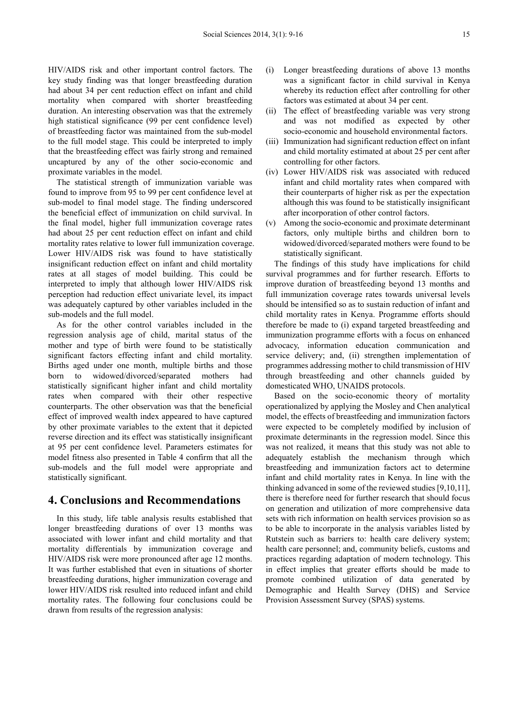HIV/AIDS risk and other important control factors. The key study finding was that longer breastfeeding duration had about 34 per cent reduction effect on infant and child mortality when compared with shorter breastfeeding duration. An interesting observation was that the extremely high statistical significance (99 per cent confidence level) of breastfeeding factor was maintained from the sub-model to the full model stage. This could be interpreted to imply that the breastfeeding effect was fairly strong and remained uncaptured by any of the other socio-economic and proximate variables in the model.

The statistical strength of immunization variable was found to improve from 95 to 99 per cent confidence level at sub-model to final model stage. The finding underscored the beneficial effect of immunization on child survival. In the final model, higher full immunization coverage rates had about 25 per cent reduction effect on infant and child mortality rates relative to lower full immunization coverage. Lower HIV/AIDS risk was found to have statistically insignificant reduction effect on infant and child mortality rates at all stages of model building. This could be interpreted to imply that although lower HIV/AIDS risk perception had reduction effect univariate level, its impact was adequately captured by other variables included in the sub-models and the full model.

As for the other control variables included in the regression analysis age of child, marital status of the mother and type of birth were found to be statistically significant factors effecting infant and child mortality. Births aged under one month, multiple births and those born to widowed/divorced/separated mothers had statistically significant higher infant and child mortality rates when compared with their other respective counterparts. The other observation was that the beneficial effect of improved wealth index appeared to have captured by other proximate variables to the extent that it depicted reverse direction and its effect was statistically insignificant at 95 per cent confidence level. Parameters estimates for model fitness also presented in Table 4 confirm that all the sub-models and the full model were appropriate and statistically significant.

### **4. Conclusions and Recommendations**

In this study, life table analysis results established that longer breastfeeding durations of over 13 months was associated with lower infant and child mortality and that mortality differentials by immunization coverage and HIV/AIDS risk were more pronounced after age 12 months. It was further established that even in situations of shorter breastfeeding durations, higher immunization coverage and lower HIV/AIDS risk resulted into reduced infant and child mortality rates. The following four conclusions could be drawn from results of the regression analysis:

- (i) Longer breastfeeding durations of above 13 months was a significant factor in child survival in Kenya whereby its reduction effect after controlling for other factors was estimated at about 34 per cent.
- (ii) The effect of breastfeeding variable was very strong and was not modified as expected by other socio-economic and household environmental factors.
- (iii) Immunization had significant reduction effect on infant and child mortality estimated at about 25 per cent after controlling for other factors.
- (iv) Lower HIV/AIDS risk was associated with reduced infant and child mortality rates when compared with their counterparts of higher risk as per the expectation although this was found to be statistically insignificant after incorporation of other control factors.
- (v) Among the socio-economic and proximate determinant factors, only multiple births and children born to widowed/divorced/separated mothers were found to be statistically significant.

The findings of this study have implications for child survival programmes and for further research. Efforts to improve duration of breastfeeding beyond 13 months and full immunization coverage rates towards universal levels should be intensified so as to sustain reduction of infant and child mortality rates in Kenya. Programme efforts should therefore be made to (i) expand targeted breastfeeding and immunization programme efforts with a focus on enhanced advocacy, information education communication and service delivery; and, (ii) strengthen implementation of programmes addressing mother to child transmission of HIV through breastfeeding and other channels guided by domesticated WHO, UNAIDS protocols.

Based on the socio-economic theory of mortality operationalized by applying the Mosley and Chen analytical model, the effects of breastfeeding and immunization factors were expected to be completely modified by inclusion of proximate determinants in the regression model. Since this was not realized, it means that this study was not able to adequately establish the mechanism through which breastfeeding and immunization factors act to determine infant and child mortality rates in Kenya. In line with the thinking advanced in some of the reviewed studies [9,10,11], there is therefore need for further research that should focus on generation and utilization of more comprehensive data sets with rich information on health services provision so as to be able to incorporate in the analysis variables listed by Rutstein such as barriers to: health care delivery system; health care personnel; and, community beliefs, customs and practices regarding adaptation of modern technology. This in effect implies that greater efforts should be made to promote combined utilization of data generated by Demographic and Health Survey (DHS) and Service Provision Assessment Survey (SPAS) systems.